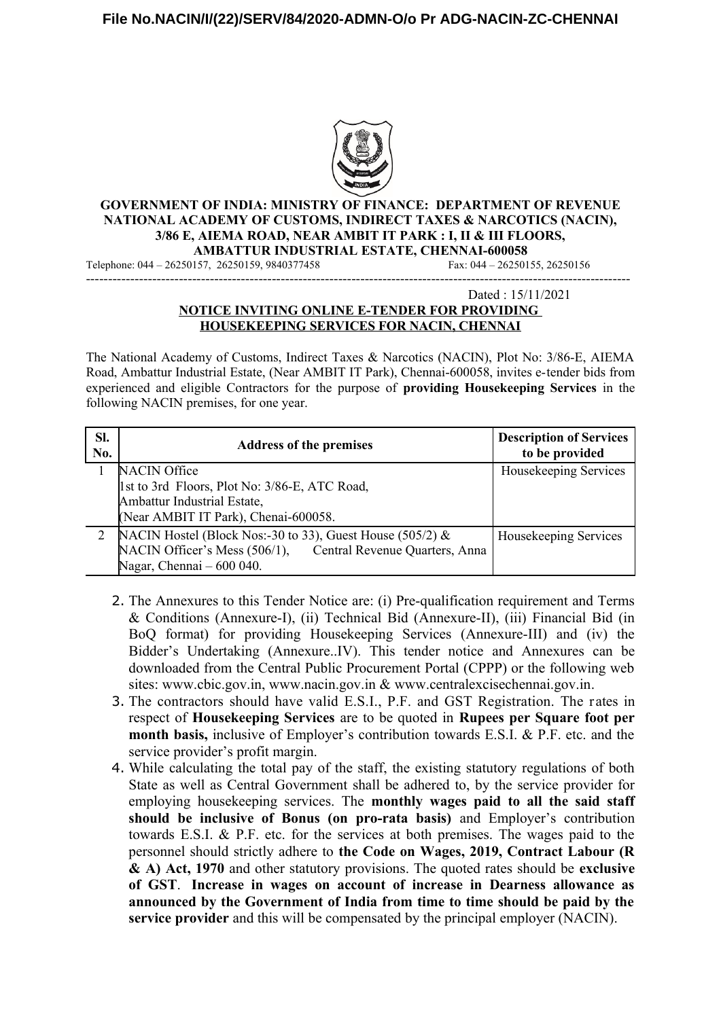

#### **GOVERNMENT OF INDIA: MINISTRY OF FINANCE: DEPARTMENT OF REVENUE NATIONAL ACADEMY OF CUSTOMS, INDIRECT TAXES & NARCOTICS (NACIN), 3/86 E, AIEMA ROAD, NEAR AMBIT IT PARK : I, II & III FLOORS, AMBATTUR INDUSTRIAL ESTATE, CHENNAI-600058**

Telephone: 044 – 26250157, 26250159, 9840377458 Fax: 044 – 26250155, 26250156 ---------------------------------------------------------------------------------------------------------------------------

#### Dated : 15/11/2021 **NOTICE INVITING ONLINE E-TENDER FOR PROVIDING HOUSEKEEPING SERVICES FOR NACIN, CHENNAI**

The National Academy of Customs, Indirect Taxes & Narcotics (NACIN), Plot No: 3/86-E, AIEMA Road, Ambattur Industrial Estate, (Near AMBIT IT Park), Chennai-600058, invites e-tender bids from experienced and eligible Contractors for the purpose of **providing Housekeeping Services** in the following NACIN premises, for one year.

| SI.<br>No. | <b>Address of the premises</b>                                  | <b>Description of Services</b><br>to be provided |
|------------|-----------------------------------------------------------------|--------------------------------------------------|
|            | <b>NACIN Office</b>                                             | Housekeeping Services                            |
|            | 1st to 3rd Floors, Plot No: 3/86-E, ATC Road,                   |                                                  |
|            | Ambattur Industrial Estate,                                     |                                                  |
|            | (Near AMBIT IT Park), Chenai-600058.                            |                                                  |
| 2          | NACIN Hostel (Block Nos:-30 to 33), Guest House (505/2) $\&$    | Housekeeping Services                            |
|            | NACIN Officer's Mess (506/1),<br>Central Revenue Quarters, Anna |                                                  |
|            | Nagar, Chennai - 600 040.                                       |                                                  |

- 2. The Annexures to this Tender Notice are: (i) Pre-qualification requirement and Terms & Conditions (Annexure-I), (ii) Technical Bid (Annexure-II), (iii) Financial Bid (in BoQ format) for providing Housekeeping Services (Annexure-III) and (iv) the Bidder's Undertaking (Annexure..IV). This tender notice and Annexures can be downloaded from the Central Public Procurement Portal (CPPP) or the following web sites: www.cbic.gov.in, www.nacin.gov.in & www.centralexcisechennai.gov.in.
- 3. The contractors should have valid E.S.I., P.F. and GST Registration. The rates in respect of **Housekeeping Services** are to be quoted in **Rupees per Square foot per month basis,** inclusive of Employer's contribution towards E.S.I. & P.F. etc. and the service provider's profit margin.
- 4. While calculating the total pay of the staff, the existing statutory regulations of both State as well as Central Government shall be adhered to, by the service provider for employing housekeeping services. The **monthly wages paid to all the said staff should be inclusive of Bonus (on pro-rata basis)** and Employer's contribution towards E.S.I. & P.F. etc. for the services at both premises. The wages paid to the personnel should strictly adhere to **the Code on Wages, 2019, Contract Labour (R & A) Act, 1970** and other statutory provisions. The quoted rates should be **exclusive of GST**. **Increase in wages on account of increase in Dearness allowance as announced by the Government of India from time to time should be paid by the service provider** and this will be compensated by the principal employer (NACIN).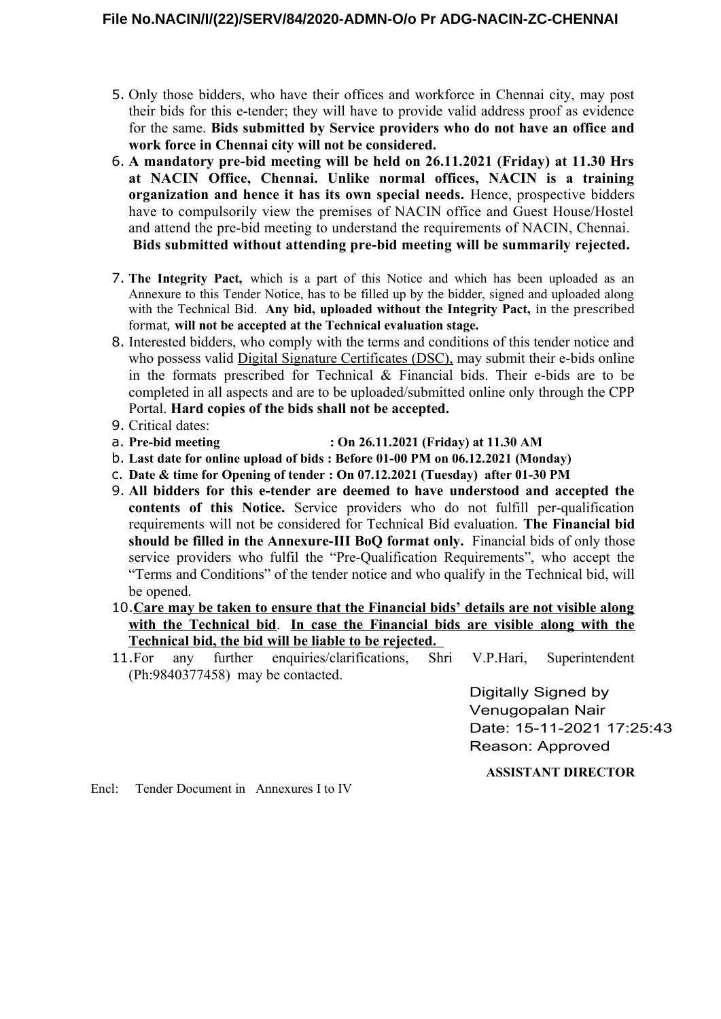- 5. Only those bidders, who have their offices and workforce in Chennai city, may post their bids for this e-tender; they will have to provide valid address proof as evidence for the same. **Bids submitted by Service providers who do not have an office and work force in Chennai city will not be considered.**
- 6. **A mandatory pre-bid meeting will be held on 26.11.2021 (Friday) at 11.30 Hrs at NACIN Office, Chennai. Unlike normal offices, NACIN is a training organization and hence it has its own special needs.** Hence, prospective bidders have to compulsorily view the premises of NACIN office and Guest House/Hostel and attend the pre-bid meeting to understand the requirements of NACIN, Chennai.  **Bids submitted without attending pre-bid meeting will be summarily rejected.**
- 7. **The Integrity Pact,** which is a part of this Notice and which has been uploaded as an Annexure to this Tender Notice, has to be filled up by the bidder, signed and uploaded along with the Technical Bid. **Any bid, uploaded without the Integrity Pact,** in the prescribed format, **will not be accepted at the Technical evaluation stage.**
- 8. Interested bidders, who comply with the terms and conditions of this tender notice and who possess valid Digital Signature Certificates (DSC), may submit their e-bids online in the formats prescribed for Technical  $\&$  Financial bids. Their e-bids are to be completed in all aspects and are to be uploaded/submitted online only through the CPP Portal. **Hard copies of the bids shall not be accepted.**
- 9. Critical dates:
- a. **Pre-bid meeting : On 26.11.2021 (Friday) at 11.30 AM**
- b. **Last date for online upload of bids : Before 01-00 PM on 06.12.2021 (Monday)**
- c. **Date & time for Opening of tender : On 07.12.2021 (Tuesday) after 01-30 PM**
- 9. **All bidders for this e-tender are deemed to have understood and accepted the contents of this Notice.** Service providers who do not fulfill per-qualification requirements will not be considered for Technical Bid evaluation. **The Financial bid should be filled in the Annexure-III BoQ format only.** Financial bids of only those service providers who fulfil the "Pre-Qualification Requirements", who accept the "Terms and Conditions" of the tender notice and who qualify in the Technical bid, will be opened.
- 10. **Care may be taken to ensure that the Financial bids' details are not visible along with the Technical bid**. **In case the Financial bids are visible along with the Technical bid, the bid will be liable to be rejected.**
- 11.For any further enquiries/clarifications, Shri V.P.Hari, Superintendent (Ph:9840377458) may be contacted.

Digitally Signed by Venugopalan Nair Date: 15-11-2021 17:25:43 Reason: Approved

**ASSISTANT DIRECTOR**

Encl: Tender Document in Annexures I to IV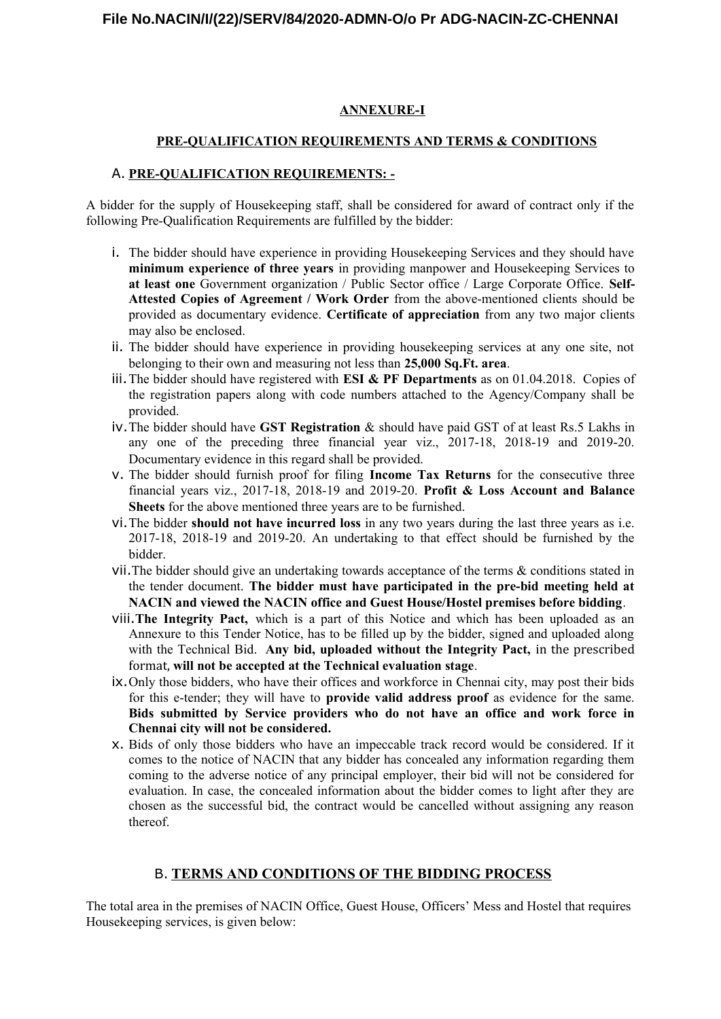## **ANNEXURE-I**

## **PRE-QUALIFICATION REQUIREMENTS AND TERMS & CONDITIONS**

### A. **PRE-QUALIFICATION REQUIREMENTS: -**

A bidder for the supply of Housekeeping staff, shall be considered for award of contract only if the following Pre-Qualification Requirements are fulfilled by the bidder:

- i. The bidder should have experience in providing Housekeeping Services and they should have **minimum experience of three years** in providing manpower and Housekeeping Services to **at least one** Government organization / Public Sector office / Large Corporate Office. **Self-Attested Copies of Agreement / Work Order** from the above-mentioned clients should be provided as documentary evidence. **Certificate of appreciation** from any two major clients may also be enclosed.
- ii. The bidder should have experience in providing housekeeping services at any one site, not belonging to their own and measuring not less than **25,000 Sq.Ft. area**.
- iii.The bidder should have registered with **ESI & PF Departments** as on 01.04.2018. Copies of the registration papers along with code numbers attached to the Agency/Company shall be provided.
- iv.The bidder should have **GST Registration** & should have paid GST of at least Rs.5 Lakhs in any one of the preceding three financial year viz., 2017-18, 2018-19 and 2019-20. Documentary evidence in this regard shall be provided.
- v. The bidder should furnish proof for filing **Income Tax Returns** for the consecutive three financial years viz., 2017-18, 2018-19 and 2019-20. **Profit & Loss Account and Balance Sheets** for the above mentioned three years are to be furnished.
- vi.The bidder **should not have incurred loss** in any two years during the last three years as i.e. 2017-18, 2018-19 and 2019-20. An undertaking to that effect should be furnished by the bidder.
- vii.The bidder should give an undertaking towards acceptance of the terms & conditions stated in the tender document. **The bidder must have participated in the pre-bid meeting held at NACIN and viewed the NACIN office and Guest House/Hostel premises before bidding**.
- viii.**The Integrity Pact,** which is a part of this Notice and which has been uploaded as an Annexure to this Tender Notice, has to be filled up by the bidder, signed and uploaded along with the Technical Bid. **Any bid, uploaded without the Integrity Pact,** in the prescribed format, **will not be accepted at the Technical evaluation stage**.
- ix.Only those bidders, who have their offices and workforce in Chennai city, may post their bids for this e-tender; they will have to **provide valid address proof** as evidence for the same. **Bids submitted by Service providers who do not have an office and work force in Chennai city will not be considered.**
- x. Bids of only those bidders who have an impeccable track record would be considered. If it comes to the notice of NACIN that any bidder has concealed any information regarding them coming to the adverse notice of any principal employer, their bid will not be considered for evaluation. In case, the concealed information about the bidder comes to light after they are chosen as the successful bid, the contract would be cancelled without assigning any reason thereof.

# B. **TERMS AND CONDITIONS OF THE BIDDING PROCESS**

The total area in the premises of NACIN Office, Guest House, Officers' Mess and Hostel that requires Housekeeping services, is given below: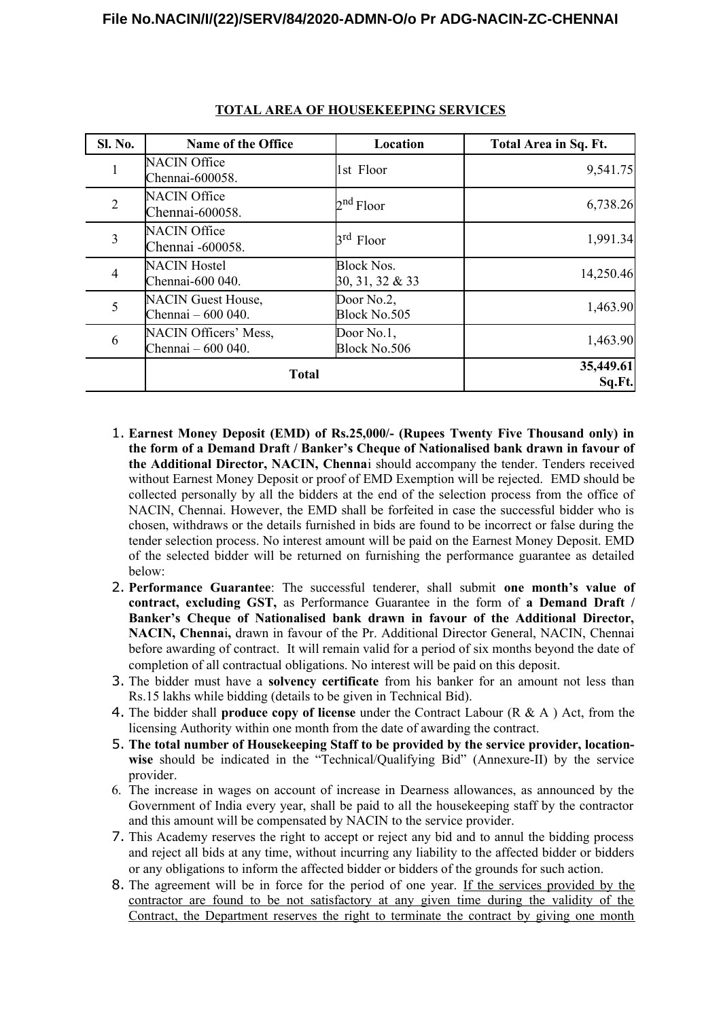| <b>Sl. No.</b> | Name of the Office                              | Location                                | Total Area in Sq. Ft. |
|----------------|-------------------------------------------------|-----------------------------------------|-----------------------|
| 1              | <b>NACIN Office</b><br>Chennai-600058.          | 1st Floor                               | 9,541.75              |
| $\overline{2}$ | <b>NACIN Office</b><br>Chennai-600058.          | $2nd$ Floor                             | 6,738.26              |
| 3              | <b>NACIN Office</b><br>Chennai -600058.         | $\beta^{rd}$ Floor                      | 1,991.34              |
| 4              | <b>NACIN Hostel</b><br>Chennai-600 040.         | <b>Block Nos.</b><br>$30, 31, 32 \& 33$ | 14,250.46             |
| 5              | <b>NACIN</b> Guest House,<br>Chennai – 600 040. | Door No.2,<br>Block No.505              | 1,463.90              |
| 6              | NACIN Officers' Mess,<br>Chennai - 600 040.     | Door No.1,<br>Block No.506              | 1,463.90              |
|                | <b>Total</b>                                    |                                         | 35,449.61<br>Sq.Ft.   |

## **TOTAL AREA OF HOUSEKEEPING SERVICES**

- 1. **Earnest Money Deposit (EMD) of Rs.25,000/- (Rupees Twenty Five Thousand only) in the form of a Demand Draft / Banker's Cheque of Nationalised bank drawn in favour of the Additional Director, NACIN, Chenna**i should accompany the tender. Tenders received without Earnest Money Deposit or proof of EMD Exemption will be rejected. EMD should be collected personally by all the bidders at the end of the selection process from the office of NACIN, Chennai. However, the EMD shall be forfeited in case the successful bidder who is chosen, withdraws or the details furnished in bids are found to be incorrect or false during the tender selection process. No interest amount will be paid on the Earnest Money Deposit. EMD of the selected bidder will be returned on furnishing the performance guarantee as detailed below:
- 2. **Performance Guarantee**: The successful tenderer, shall submit **one month's value of contract, excluding GST,** as Performance Guarantee in the form of **a Demand Draft / Banker's Cheque of Nationalised bank drawn in favour of the Additional Director, NACIN, Chenna**i**,** drawn in favour of the Pr. Additional Director General, NACIN, Chennai before awarding of contract. It will remain valid for a period of six months beyond the date of completion of all contractual obligations. No interest will be paid on this deposit.
- 3. The bidder must have a **solvency certificate** from his banker for an amount not less than Rs.15 lakhs while bidding (details to be given in Technical Bid).
- 4. The bidder shall **produce copy of license** under the Contract Labour (R & A ) Act, from the licensing Authority within one month from the date of awarding the contract.
- 5. **The total number of Housekeeping Staff to be provided by the service provider, locationwise** should be indicated in the "Technical/Qualifying Bid" (Annexure-II) by the service provider.
- 6. The increase in wages on account of increase in Dearness allowances, as announced by the Government of India every year, shall be paid to all the housekeeping staff by the contractor and this amount will be compensated by NACIN to the service provider.
- 7. This Academy reserves the right to accept or reject any bid and to annul the bidding process and reject all bids at any time, without incurring any liability to the affected bidder or bidders or any obligations to inform the affected bidder or bidders of the grounds for such action.
- 8. The agreement will be in force for the period of one year. If the services provided by the contractor are found to be not satisfactory at any given time during the validity of the Contract, the Department reserves the right to terminate the contract by giving one month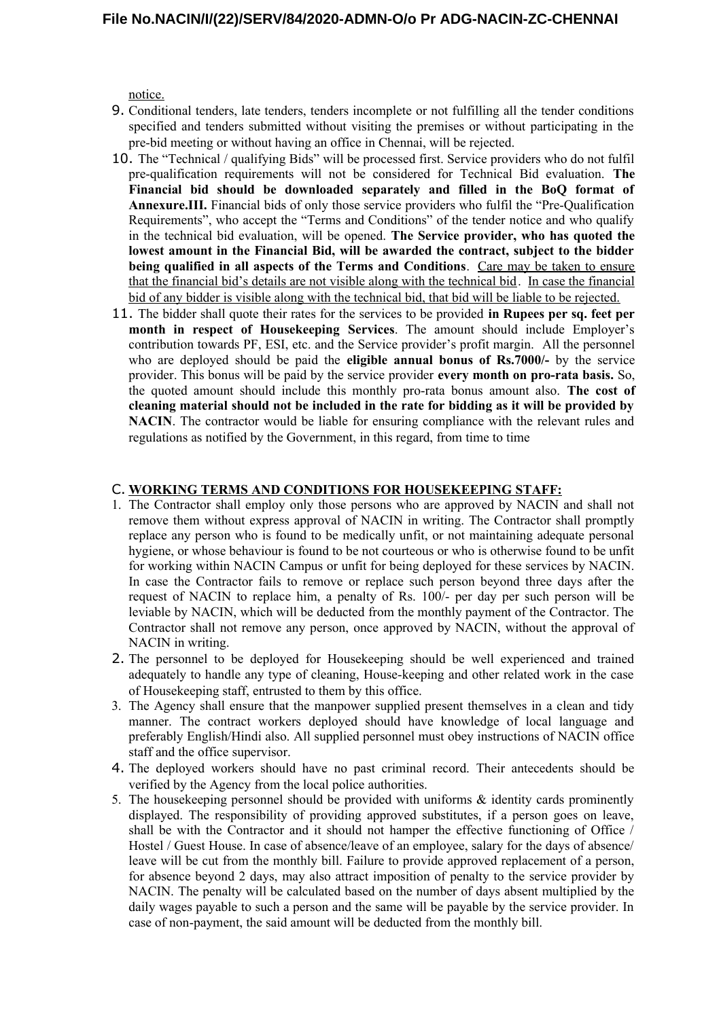notice.

- 9. Conditional tenders, late tenders, tenders incomplete or not fulfilling all the tender conditions specified and tenders submitted without visiting the premises or without participating in the pre-bid meeting or without having an office in Chennai, will be rejected.
- 10. The "Technical / qualifying Bids" will be processed first. Service providers who do not fulfil pre-qualification requirements will not be considered for Technical Bid evaluation. **The Financial bid should be downloaded separately and filled in the BoQ format of Annexure.III.** Financial bids of only those service providers who fulfil the "Pre-Qualification Requirements", who accept the "Terms and Conditions" of the tender notice and who qualify in the technical bid evaluation, will be opened. **The Service provider, who has quoted the lowest amount in the Financial Bid, will be awarded the contract, subject to the bidder being qualified in all aspects of the Terms and Conditions**. Care may be taken to ensure that the financial bid's details are not visible along with the technical bid. In case the financial bid of any bidder is visible along with the technical bid, that bid will be liable to be rejected.
- 11. The bidder shall quote their rates for the services to be provided **in Rupees per sq. feet per month in respect of Housekeeping Services**. The amount should include Employer's contribution towards PF, ESI, etc. and the Service provider's profit margin. All the personnel who are deployed should be paid the **eligible annual bonus of Rs.7000/-** by the service provider. This bonus will be paid by the service provider **every month on pro-rata basis.** So, the quoted amount should include this monthly pro-rata bonus amount also. **The cost of cleaning material should not be included in the rate for bidding as it will be provided by NACIN**. The contractor would be liable for ensuring compliance with the relevant rules and regulations as notified by the Government, in this regard, from time to time

#### C. **WORKING TERMS AND CONDITIONS FOR HOUSEKEEPING STAFF:**

- 1. The Contractor shall employ only those persons who are approved by NACIN and shall not remove them without express approval of NACIN in writing. The Contractor shall promptly replace any person who is found to be medically unfit, or not maintaining adequate personal hygiene, or whose behaviour is found to be not courteous or who is otherwise found to be unfit for working within NACIN Campus or unfit for being deployed for these services by NACIN. In case the Contractor fails to remove or replace such person beyond three days after the request of NACIN to replace him, a penalty of Rs. 100/- per day per such person will be leviable by NACIN, which will be deducted from the monthly payment of the Contractor. The Contractor shall not remove any person, once approved by NACIN, without the approval of NACIN in writing.
- 2. The personnel to be deployed for Housekeeping should be well experienced and trained adequately to handle any type of cleaning, House-keeping and other related work in the case of Housekeeping staff, entrusted to them by this office.
- 3. The Agency shall ensure that the manpower supplied present themselves in a clean and tidy manner. The contract workers deployed should have knowledge of local language and preferably English/Hindi also. All supplied personnel must obey instructions of NACIN office staff and the office supervisor.
- 4. The deployed workers should have no past criminal record. Their antecedents should be verified by the Agency from the local police authorities.
- 5. The housekeeping personnel should be provided with uniforms & identity cards prominently displayed. The responsibility of providing approved substitutes, if a person goes on leave, shall be with the Contractor and it should not hamper the effective functioning of Office / Hostel / Guest House. In case of absence/leave of an employee, salary for the days of absence/ leave will be cut from the monthly bill. Failure to provide approved replacement of a person, for absence beyond 2 days, may also attract imposition of penalty to the service provider by NACIN. The penalty will be calculated based on the number of days absent multiplied by the daily wages payable to such a person and the same will be payable by the service provider. In case of non-payment, the said amount will be deducted from the monthly bill.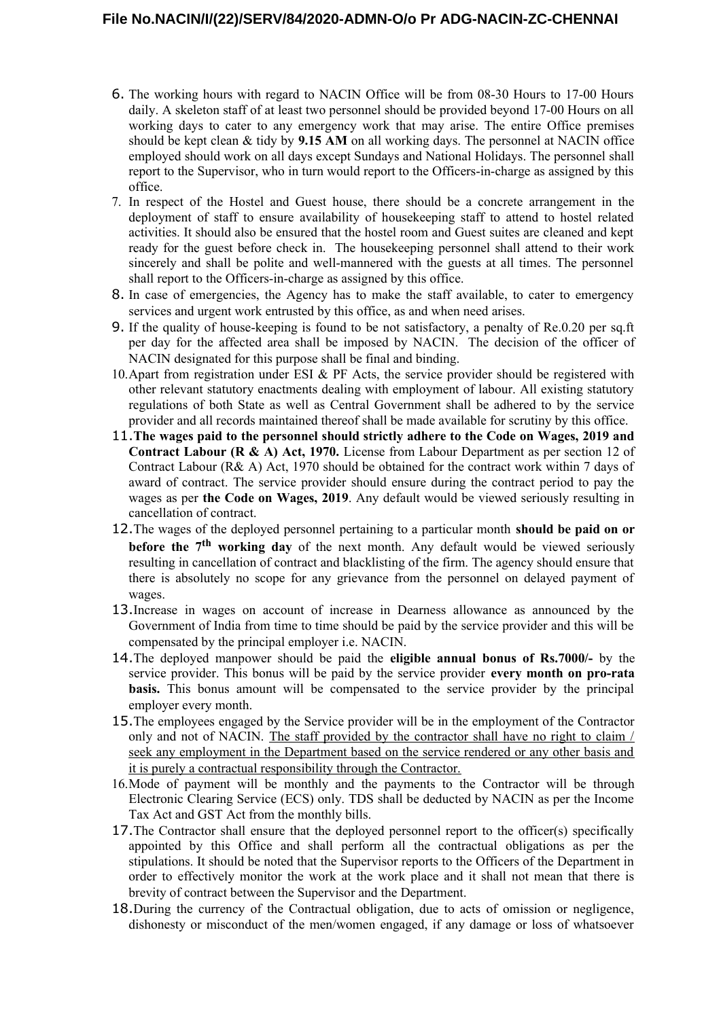- 6. The working hours with regard to NACIN Office will be from 08-30 Hours to 17-00 Hours daily. A skeleton staff of at least two personnel should be provided beyond 17-00 Hours on all working days to cater to any emergency work that may arise. The entire Office premises should be kept clean & tidy by **9.15 AM** on all working days. The personnel at NACIN office employed should work on all days except Sundays and National Holidays. The personnel shall report to the Supervisor, who in turn would report to the Officers-in-charge as assigned by this office.
- 7. In respect of the Hostel and Guest house, there should be a concrete arrangement in the deployment of staff to ensure availability of housekeeping staff to attend to hostel related activities. It should also be ensured that the hostel room and Guest suites are cleaned and kept ready for the guest before check in. The housekeeping personnel shall attend to their work sincerely and shall be polite and well-mannered with the guests at all times. The personnel shall report to the Officers-in-charge as assigned by this office.
- 8. In case of emergencies, the Agency has to make the staff available, to cater to emergency services and urgent work entrusted by this office, as and when need arises.
- 9. If the quality of house-keeping is found to be not satisfactory, a penalty of Re.0.20 per sq.ft per day for the affected area shall be imposed by NACIN. The decision of the officer of NACIN designated for this purpose shall be final and binding.
- 10. Apart from registration under ESI  $\&$  PF Acts, the service provider should be registered with other relevant statutory enactments dealing with employment of labour. All existing statutory regulations of both State as well as Central Government shall be adhered to by the service provider and all records maintained thereof shall be made available for scrutiny by this office.
- 11.**The wages paid to the personnel should strictly adhere to the Code on Wages, 2019 and Contract Labour (R & A) Act, 1970.** License from Labour Department as per section 12 of Contract Labour (R& A) Act, 1970 should be obtained for the contract work within 7 days of award of contract. The service provider should ensure during the contract period to pay the wages as per **the Code on Wages, 2019**. Any default would be viewed seriously resulting in cancellation of contract.
- 12.The wages of the deployed personnel pertaining to a particular month **should be paid on or before the 7<sup>th</sup> working day** of the next month. Any default would be viewed seriously resulting in cancellation of contract and blacklisting of the firm. The agency should ensure that there is absolutely no scope for any grievance from the personnel on delayed payment of wages.
- 13.Increase in wages on account of increase in Dearness allowance as announced by the Government of India from time to time should be paid by the service provider and this will be compensated by the principal employer i.e. NACIN.
- 14.The deployed manpower should be paid the **eligible annual bonus of Rs.7000/-** by the service provider. This bonus will be paid by the service provider **every month on pro-rata basis.** This bonus amount will be compensated to the service provider by the principal employer every month.
- 15.The employees engaged by the Service provider will be in the employment of the Contractor only and not of NACIN. The staff provided by the contractor shall have no right to claim / seek any employment in the Department based on the service rendered or any other basis and it is purely a contractual responsibility through the Contractor.
- 16.Mode of payment will be monthly and the payments to the Contractor will be through Electronic Clearing Service (ECS) only. TDS shall be deducted by NACIN as per the Income Tax Act and GST Act from the monthly bills.
- 17.The Contractor shall ensure that the deployed personnel report to the officer(s) specifically appointed by this Office and shall perform all the contractual obligations as per the stipulations. It should be noted that the Supervisor reports to the Officers of the Department in order to effectively monitor the work at the work place and it shall not mean that there is brevity of contract between the Supervisor and the Department.
- 18.During the currency of the Contractual obligation, due to acts of omission or negligence, dishonesty or misconduct of the men/women engaged, if any damage or loss of whatsoever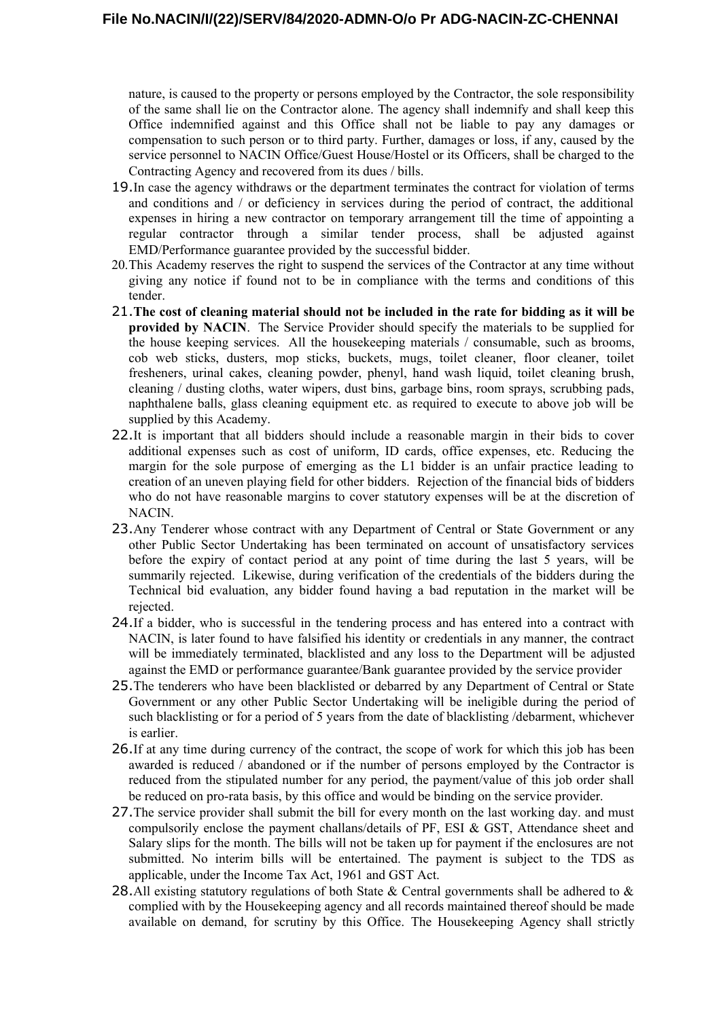nature, is caused to the property or persons employed by the Contractor, the sole responsibility of the same shall lie on the Contractor alone. The agency shall indemnify and shall keep this Office indemnified against and this Office shall not be liable to pay any damages or compensation to such person or to third party. Further, damages or loss, if any, caused by the service personnel to NACIN Office/Guest House/Hostel or its Officers, shall be charged to the Contracting Agency and recovered from its dues / bills.

- 19.In case the agency withdraws or the department terminates the contract for violation of terms and conditions and / or deficiency in services during the period of contract, the additional expenses in hiring a new contractor on temporary arrangement till the time of appointing a regular contractor through a similar tender process, shall be adjusted against EMD/Performance guarantee provided by the successful bidder.
- 20.This Academy reserves the right to suspend the services of the Contractor at any time without giving any notice if found not to be in compliance with the terms and conditions of this tender.
- 21.**The cost of cleaning material should not be included in the rate for bidding as it will be provided by NACIN**. The Service Provider should specify the materials to be supplied for the house keeping services. All the housekeeping materials / consumable, such as brooms, cob web sticks, dusters, mop sticks, buckets, mugs, toilet cleaner, floor cleaner, toilet fresheners, urinal cakes, cleaning powder, phenyl, hand wash liquid, toilet cleaning brush, cleaning / dusting cloths, water wipers, dust bins, garbage bins, room sprays, scrubbing pads, naphthalene balls, glass cleaning equipment etc. as required to execute to above job will be supplied by this Academy.
- 22.It is important that all bidders should include a reasonable margin in their bids to cover additional expenses such as cost of uniform, ID cards, office expenses, etc. Reducing the margin for the sole purpose of emerging as the L1 bidder is an unfair practice leading to creation of an uneven playing field for other bidders. Rejection of the financial bids of bidders who do not have reasonable margins to cover statutory expenses will be at the discretion of NACIN.
- 23.Any Tenderer whose contract with any Department of Central or State Government or any other Public Sector Undertaking has been terminated on account of unsatisfactory services before the expiry of contact period at any point of time during the last 5 years, will be summarily rejected. Likewise, during verification of the credentials of the bidders during the Technical bid evaluation, any bidder found having a bad reputation in the market will be rejected.
- 24.If a bidder, who is successful in the tendering process and has entered into a contract with NACIN, is later found to have falsified his identity or credentials in any manner, the contract will be immediately terminated, blacklisted and any loss to the Department will be adjusted against the EMD or performance guarantee/Bank guarantee provided by the service provider
- 25.The tenderers who have been blacklisted or debarred by any Department of Central or State Government or any other Public Sector Undertaking will be ineligible during the period of such blacklisting or for a period of 5 years from the date of blacklisting /debarment, whichever is earlier.
- 26.If at any time during currency of the contract, the scope of work for which this job has been awarded is reduced / abandoned or if the number of persons employed by the Contractor is reduced from the stipulated number for any period, the payment/value of this job order shall be reduced on pro-rata basis, by this office and would be binding on the service provider.
- 27.The service provider shall submit the bill for every month on the last working day. and must compulsorily enclose the payment challans/details of PF, ESI & GST, Attendance sheet and Salary slips for the month. The bills will not be taken up for payment if the enclosures are not submitted. No interim bills will be entertained. The payment is subject to the TDS as applicable, under the Income Tax Act, 1961 and GST Act.
- 28.All existing statutory regulations of both State  $\&$  Central governments shall be adhered to  $\&$ complied with by the Housekeeping agency and all records maintained thereof should be made available on demand, for scrutiny by this Office. The Housekeeping Agency shall strictly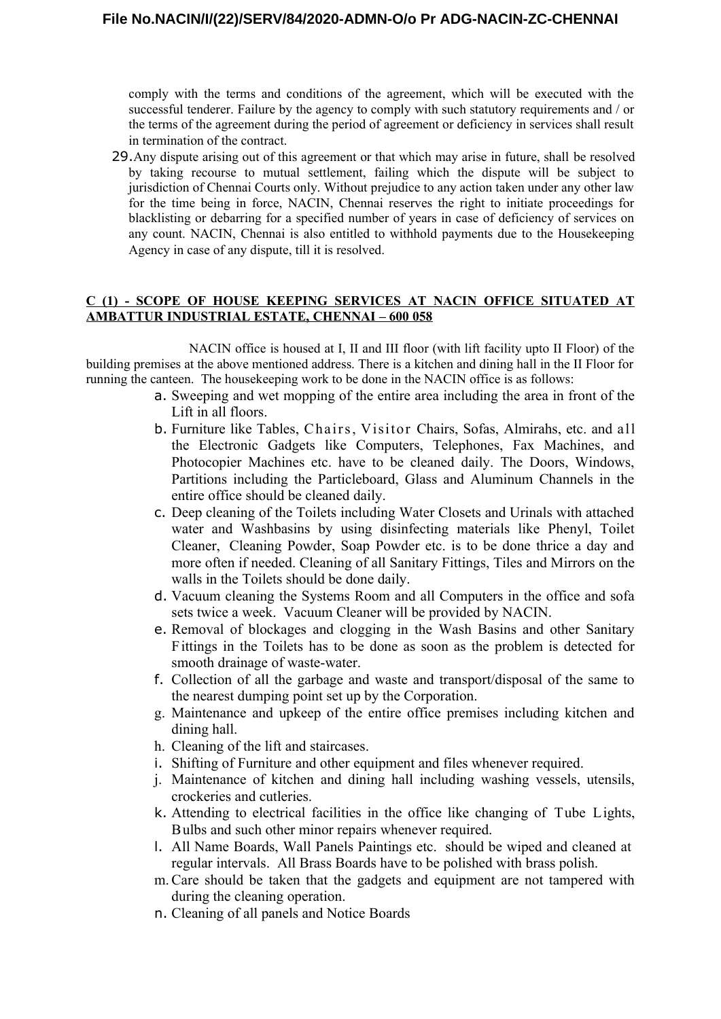comply with the terms and conditions of the agreement, which will be executed with the successful tenderer. Failure by the agency to comply with such statutory requirements and / or the terms of the agreement during the period of agreement or deficiency in services shall result in termination of the contract.

29.Any dispute arising out of this agreement or that which may arise in future, shall be resolved by taking recourse to mutual settlement, failing which the dispute will be subject to jurisdiction of Chennai Courts only. Without prejudice to any action taken under any other law for the time being in force, NACIN, Chennai reserves the right to initiate proceedings for blacklisting or debarring for a specified number of years in case of deficiency of services on any count. NACIN, Chennai is also entitled to withhold payments due to the Housekeeping Agency in case of any dispute, till it is resolved.

### **C (1) - SCOPE OF HOUSE KEEPING SERVICES AT NACIN OFFICE SITUATED AT AMBATTUR INDUSTRIAL ESTATE, CHENNAI – 600 058**

NACIN office is housed at I, II and III floor (with lift facility upto II Floor) of the building premises at the above mentioned address. There is a kitchen and dining hall in the II Floor for running the canteen. The housekeeping work to be done in the NACIN office is as follows:

- a. Sweeping and wet mopping of the entire area including the area in front of the Lift in all floors.
- b. Furniture like Tables, Chairs, Visitor Chairs, Sofas, Almirahs, etc. and all the Electronic Gadgets like Computers, Telephones, Fax Machines, and Photocopier Machines etc. have to be cleaned daily. The Doors, Windows, Partitions including the Particleboard, Glass and Aluminum Channels in the entire office should be cleaned daily.
- c. Deep cleaning of the Toilets including Water Closets and Urinals with attached water and Washbasins by using disinfecting materials like Phenyl, Toilet Cleaner, Cleaning Powder, Soap Powder etc. is to be done thrice a day and more often if needed. Cleaning of all Sanitary Fittings, Tiles and Mirrors on the walls in the Toilets should be done daily.
- d. Vacuum cleaning the Systems Room and all Computers in the office and sofa sets twice a week. Vacuum Cleaner will be provided by NACIN.
- e. Removal of blockages and clogging in the Wash Basins and other Sanitary Fittings in the Toilets has to be done as soon as the problem is detected for smooth drainage of waste-water.
- f. Collection of all the garbage and waste and transport/disposal of the same to the nearest dumping point set up by the Corporation.
- g. Maintenance and upkeep of the entire office premises including kitchen and dining hall.
- h. Cleaning of the lift and staircases.
- i. Shifting of Furniture and other equipment and files whenever required.
- j. Maintenance of kitchen and dining hall including washing vessels, utensils, crockeries and cutleries.
- k. Attending to electrical facilities in the office like changing of Tube Lights, Bulbs and such other minor repairs whenever required.
- l. All Name Boards, Wall Panels Paintings etc. should be wiped and cleaned at regular intervals. All Brass Boards have to be polished with brass polish.
- m.Care should be taken that the gadgets and equipment are not tampered with during the cleaning operation.
- n. Cleaning of all panels and Notice Boards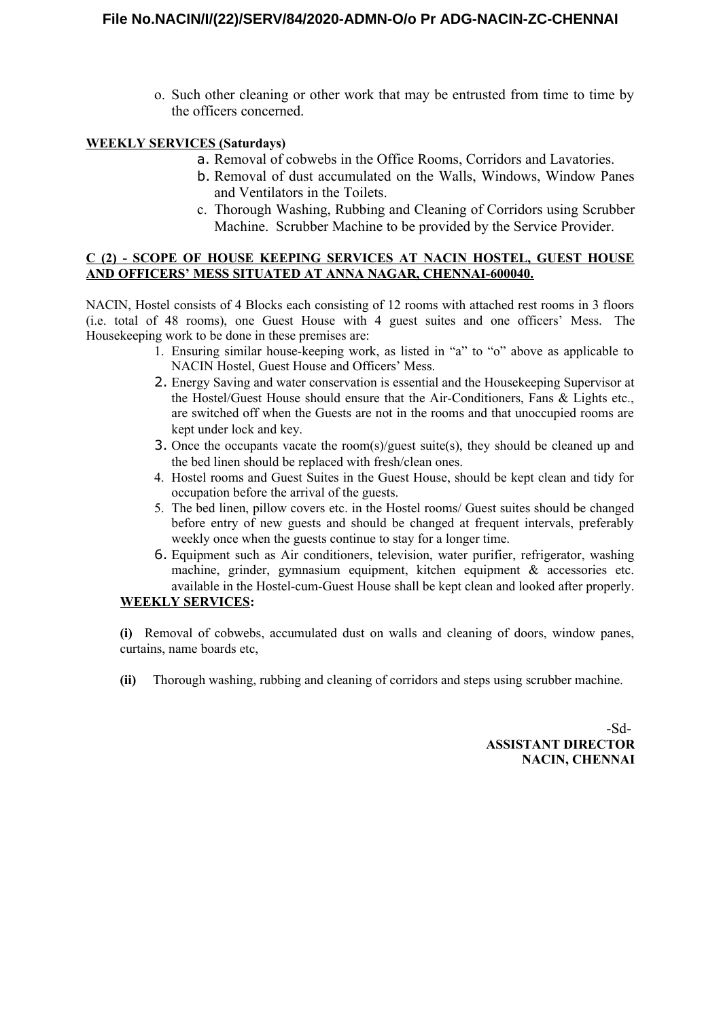o. Such other cleaning or other work that may be entrusted from time to time by the officers concerned.

# **WEEKLY SERVICES (Saturdays)**

- a. Removal of cobwebs in the Office Rooms, Corridors and Lavatories.
- b. Removal of dust accumulated on the Walls, Windows, Window Panes and Ventilators in the Toilets.
- c. Thorough Washing, Rubbing and Cleaning of Corridors using Scrubber Machine. Scrubber Machine to be provided by the Service Provider.

### **C (2) - SCOPE OF HOUSE KEEPING SERVICES AT NACIN HOSTEL, GUEST HOUSE AND OFFICERS' MESS SITUATED AT ANNA NAGAR, CHENNAI-600040.**

NACIN, Hostel consists of 4 Blocks each consisting of 12 rooms with attached rest rooms in 3 floors (i.e. total of 48 rooms), one Guest House with 4 guest suites and one officers' Mess. The Housekeeping work to be done in these premises are:

- 1. Ensuring similar house-keeping work, as listed in "a" to "o" above as applicable to NACIN Hostel, Guest House and Officers' Mess.
- 2. Energy Saving and water conservation is essential and the Housekeeping Supervisor at the Hostel/Guest House should ensure that the Air-Conditioners, Fans & Lights etc., are switched off when the Guests are not in the rooms and that unoccupied rooms are kept under lock and key.
- 3. Once the occupants vacate the room(s)/guest suite(s), they should be cleaned up and the bed linen should be replaced with fresh/clean ones.
- 4. Hostel rooms and Guest Suites in the Guest House, should be kept clean and tidy for occupation before the arrival of the guests.
- 5. The bed linen, pillow covers etc. in the Hostel rooms/ Guest suites should be changed before entry of new guests and should be changed at frequent intervals, preferably weekly once when the guests continue to stay for a longer time.
- 6. Equipment such as Air conditioners, television, water purifier, refrigerator, washing machine, grinder, gymnasium equipment, kitchen equipment & accessories etc. available in the Hostel-cum-Guest House shall be kept clean and looked after properly.

## **WEEKLY SERVICES:**

**(i)** Removal of cobwebs, accumulated dust on walls and cleaning of doors, window panes, curtains, name boards etc,

**(ii)** Thorough washing, rubbing and cleaning of corridors and steps using scrubber machine.

-Sd-**ASSISTANT DIRECTOR NACIN, CHENNAI**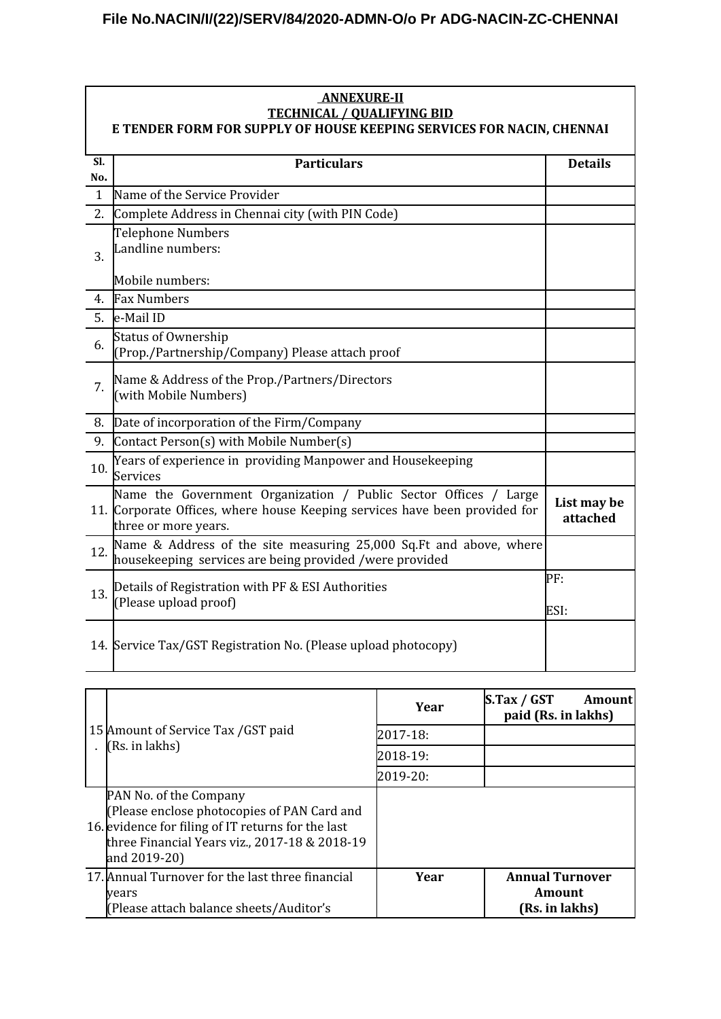| <b>ANNEXURE-II</b>                                                                                         |                                                                                                                                                                        |                         |  |  |
|------------------------------------------------------------------------------------------------------------|------------------------------------------------------------------------------------------------------------------------------------------------------------------------|-------------------------|--|--|
| <b>TECHNICAL / QUALIFYING BID</b><br>E TENDER FORM FOR SUPPLY OF HOUSE KEEPING SERVICES FOR NACIN, CHENNAI |                                                                                                                                                                        |                         |  |  |
|                                                                                                            |                                                                                                                                                                        |                         |  |  |
| SI.<br>No.                                                                                                 | <b>Particulars</b>                                                                                                                                                     | <b>Details</b>          |  |  |
| $\mathbf{1}$                                                                                               | Name of the Service Provider                                                                                                                                           |                         |  |  |
| 2.                                                                                                         | Complete Address in Chennai city (with PIN Code)                                                                                                                       |                         |  |  |
| 3.                                                                                                         | Telephone Numbers<br>Landline numbers:                                                                                                                                 |                         |  |  |
|                                                                                                            | Mobile numbers:                                                                                                                                                        |                         |  |  |
| 4.                                                                                                         | <b>Fax Numbers</b>                                                                                                                                                     |                         |  |  |
| 5.                                                                                                         | e-Mail ID                                                                                                                                                              |                         |  |  |
| 6.                                                                                                         | <b>Status of Ownership</b><br>(Prop./Partnership/Company) Please attach proof                                                                                          |                         |  |  |
| 7.                                                                                                         | Name & Address of the Prop./Partners/Directors<br>(with Mobile Numbers)                                                                                                |                         |  |  |
| 8.                                                                                                         | Date of incorporation of the Firm/Company                                                                                                                              |                         |  |  |
| 9.                                                                                                         | Contact Person(s) with Mobile Number(s)                                                                                                                                |                         |  |  |
| 10.                                                                                                        | Years of experience in providing Manpower and Housekeeping<br>Services                                                                                                 |                         |  |  |
|                                                                                                            | Name the Government Organization / Public Sector Offices / Large<br>11. Corporate Offices, where house Keeping services have been provided for<br>three or more years. | List may be<br>attached |  |  |
| 12.                                                                                                        | Name & Address of the site measuring 25,000 Sq.Ft and above, where<br>housekeeping services are being provided /were provided                                          |                         |  |  |
| 13.                                                                                                        | Details of Registration with PF & ESI Authorities<br>(Please upload proof)                                                                                             | PF:<br>ESI:             |  |  |
|                                                                                                            | 14. Service Tax/GST Registration No. (Please upload photocopy)                                                                                                         |                         |  |  |

| 15 Amount of Service Tax / GST paid<br>(Rs. in lakhs)                                                                                                                                        | Year     | S(Tax / GST)<br>Amountl<br>paid (Rs. in lakhs)     |
|----------------------------------------------------------------------------------------------------------------------------------------------------------------------------------------------|----------|----------------------------------------------------|
|                                                                                                                                                                                              | 2017-18: |                                                    |
|                                                                                                                                                                                              | 2018-19: |                                                    |
|                                                                                                                                                                                              | 2019-20: |                                                    |
| PAN No. of the Company<br>(Please enclose photocopies of PAN Card and<br>16. evidence for filing of IT returns for the last<br>three Financial Years viz., 2017-18 & 2018-19<br>and 2019-20) |          |                                                    |
| 17. Annual Turnover for the last three financial<br><b>vears</b><br>(Please attach balance sheets/Auditor's                                                                                  | Year     | <b>Annual Turnover</b><br>Amount<br>(Rs. in lakhs) |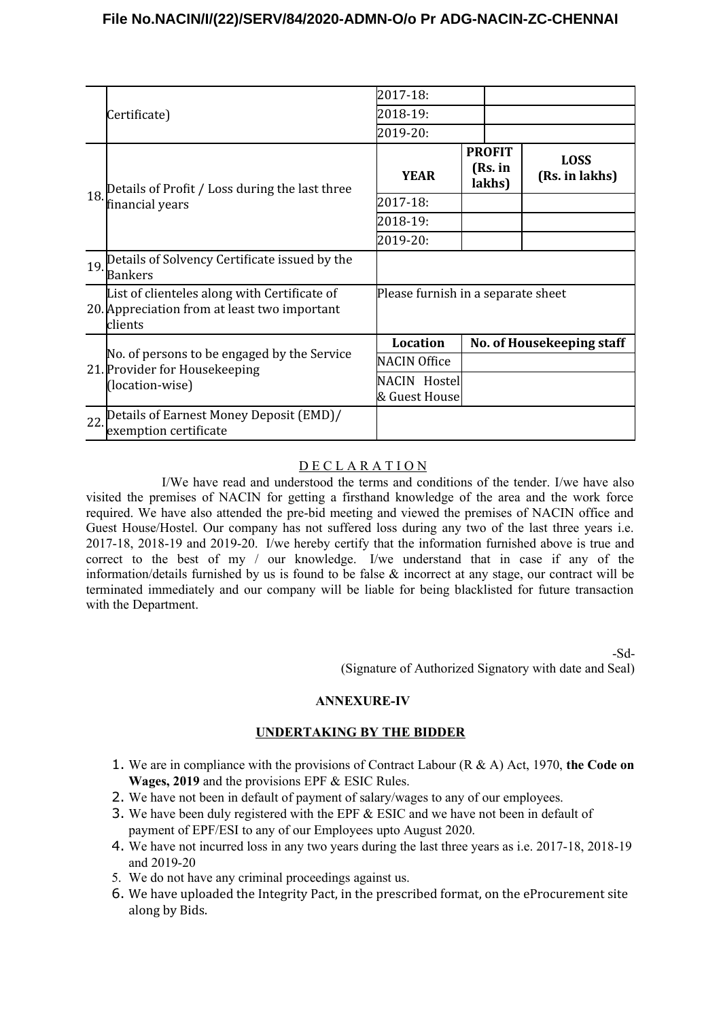# **File No.NACIN/I/(22)/SERV/84/2020-ADMN-O/o Pr ADG-NACIN-ZC-CHENNAI**

|     | Certificate)                                                                                            | 2017-18:                           |                                    |  |                               |
|-----|---------------------------------------------------------------------------------------------------------|------------------------------------|------------------------------------|--|-------------------------------|
|     |                                                                                                         | 2018-19:                           |                                    |  |                               |
|     |                                                                                                         | 2019-20:                           |                                    |  |                               |
| 18. | Details of Profit / Loss during the last three<br>financial years                                       | <b>YEAR</b>                        | <b>PROFIT</b><br>(Rs. in<br>lakhs) |  | <b>LOSS</b><br>(Rs. in lakhs) |
|     |                                                                                                         | 2017-18:                           |                                    |  |                               |
|     |                                                                                                         | 2018-19:                           |                                    |  |                               |
|     |                                                                                                         | 2019-20:                           |                                    |  |                               |
| 19. | Details of Solvency Certificate issued by the<br><b>Bankers</b>                                         |                                    |                                    |  |                               |
|     | List of clienteles along with Certificate of<br>20. Appreciation from at least two important<br>clients | Please furnish in a separate sheet |                                    |  |                               |
|     | No. of persons to be engaged by the Service<br>21. Provider for Housekeeping<br>(location-wise)         | Location                           | No. of Housekeeping staff          |  |                               |
|     |                                                                                                         | <b>NACIN Office</b>                |                                    |  |                               |
|     |                                                                                                         | NACIN Hostel<br>& Guest House      |                                    |  |                               |
| 22. | Details of Earnest Money Deposit (EMD)/<br>exemption certificate                                        |                                    |                                    |  |                               |

## D E C L A R A T I O N

I/We have read and understood the terms and conditions of the tender. I/we have also visited the premises of NACIN for getting a firsthand knowledge of the area and the work force required. We have also attended the pre-bid meeting and viewed the premises of NACIN office and Guest House/Hostel. Our company has not suffered loss during any two of the last three years i.e. 2017-18, 2018-19 and 2019-20. I/we hereby certify that the information furnished above is true and correct to the best of my / our knowledge. I/we understand that in case if any of the information/details furnished by us is found to be false & incorrect at any stage, our contract will be terminated immediately and our company will be liable for being blacklisted for future transaction with the Department.

> -Sd- (Signature of Authorized Signatory with date and Seal)

#### **ANNEXURE-IV**

### **UNDERTAKING BY THE BIDDER**

- 1. We are in compliance with the provisions of Contract Labour (R & A) Act, 1970, **the Code on Wages, 2019** and the provisions EPF & ESIC Rules.
- 2. We have not been in default of payment of salary/wages to any of our employees.
- 3. We have been duly registered with the EPF & ESIC and we have not been in default of payment of EPF/ESI to any of our Employees upto August 2020.
- 4. We have not incurred loss in any two years during the last three years as i.e. 2017-18, 2018-19 and 2019-20
- 5. We do not have any criminal proceedings against us.
- 6. We have uploaded the Integrity Pact, in the prescribed format, on the eProcurement site along by Bids.